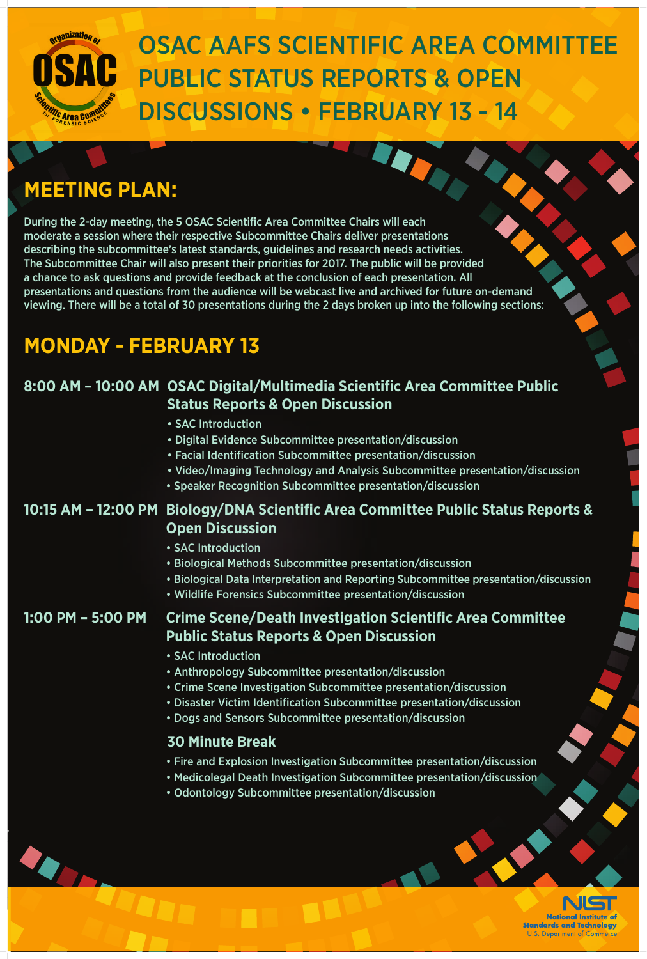## **MEETING PLAN:**

During the 2-day meeting, the 5 OSAC Scientific Area Committee Chairs will each moderate a session where their respective Subcommittee Chairs deliver presentations describing the subcommittee's latest standards, guidelines and research needs activities. The Subcommittee Chair will also present their priorities for 2017. The public will be provided a chance to ask questions and provide feedback at the conclusion of each presentation. All presentations and questions from the audience will be webcast live and archived for future on-demand viewing. There will be a total of 30 presentations during the 2 days broken up into the following sections:

## **MONDAY - FEBRUARY 13**

### **8:00 AM – 10:00 AM OSAC Digital/Multimedia Scientific Area Committee Public Status Reports & Open Discussion**

- SAC Introduction
- Digital Evidence Subcommittee presentation/discussion
- Facial Identification Subcommittee presentation/discussion
- Video/Imaging Technology and Analysis Subcommittee presentation/discussion
- Speaker Recognition Subcommittee presentation/discussion

### **10:15 AM – 12:00 PM Biology/DNA Scientific Area Committee Public Status Reports & Open Discussion**

- SAC Introduction
- Biological Methods Subcommittee presentation/discussion
- Biological Data Interpretation and Reporting Subcommittee presentation/discussion
- Wildlife Forensics Subcommittee presentation/discussion

#### **1:00 PM – 5:00 PM Crime Scene/Death Investigation Scientific Area Committee Public Status Reports & Open Discussion**

- SAC Introduction
- Anthropology Subcommittee presentation/discussion
- Crime Scene Investigation Subcommittee presentation/discussion
- Disaster Victim Identification Subcommittee presentation/discussion
- Dogs and Sensors Subcommittee presentation/discussion

#### **30 Minute Break**

- Fire and Explosion Investigation Subcommittee presentation/discussion
- Medicolegal Death Investigation Subcommittee presentation/discussion
- Odontology Subcommittee presentation/discussion



**National Institute of Standards and Technology U.S. Department of Commerce** 



# OSAC AAFS SCIENTIFIC AREA COMMITTEE PUBLIC STATUS REPORTS & OPEN DISCUSSIONS • FEBRUARY 13 - 14